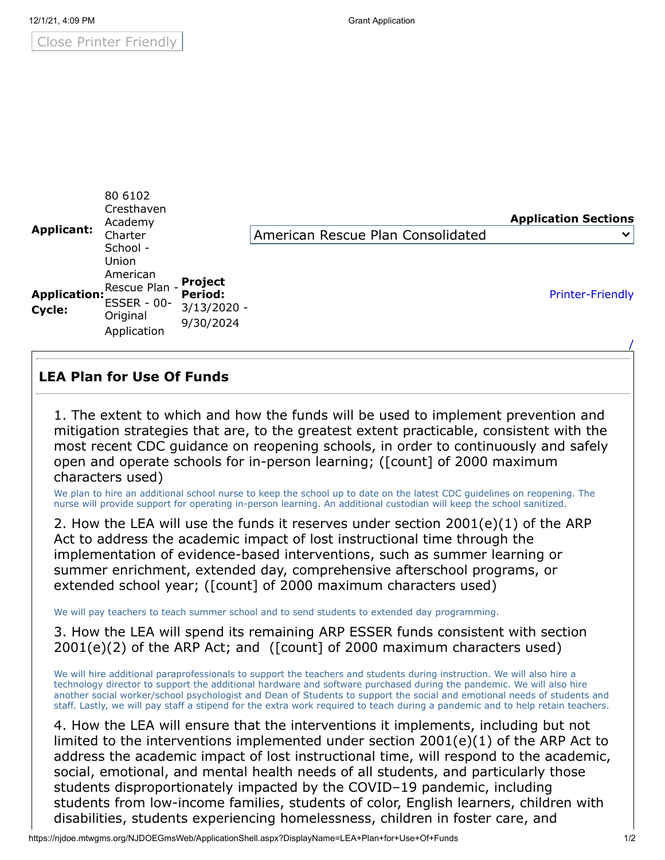Close Printer Friendly

|                        | 80 6102<br>Cresthaven<br>Academy                                                                |                                                         |                                   | <b>Application Sections</b> |
|------------------------|-------------------------------------------------------------------------------------------------|---------------------------------------------------------|-----------------------------------|-----------------------------|
| <b>Applicant:</b>      | Charter                                                                                         |                                                         | American Rescue Plan Consolidated | $\checkmark$                |
| Application:<br>Cycle: | School -<br>Union<br>American<br>Rescue Plan -<br><b>ESSER - 00-</b><br>Original<br>Application | <b>Project</b><br>Period:<br>$3/13/2020 -$<br>9/30/2024 |                                   | <b>Printer-Friendly</b>     |

## **LEA Plan for Use Of Funds**

1. The extent to which and how the funds will be used to implement prevention and mitigation strategies that are, to the greatest extent practicable, consistent with the most recent CDC guidance on reopening schools, in order to continuously and safely open and operate schools for in-person learning; ([count] of 2000 maximum characters used)

We plan to hire an additional school nurse to keep the school up to date on the latest CDC guidelines on reopening. The nurse will provide support for operating in-person learning. An additional custodian will keep the school sanitized.

2. How the LEA will use the funds it reserves under section 2001(e)(1) of the ARP Act to address the academic impact of lost instructional time through the implementation of evidence-based interventions, such as summer learning or summer enrichment, extended day, comprehensive afterschool programs, or extended school year; ([count] of 2000 maximum characters used)

We will pay teachers to teach summer school and to send students to extended day programming.

3. How the LEA will spend its remaining ARP ESSER funds consistent with section 2001(e)(2) of the ARP Act; and ([count] of 2000 maximum characters used)

We will hire additional paraprofessionals to support the teachers and students during instruction. We will also hire a technology director to support the additional hardware and software purchased during the pandemic. We will also hire another social worker/school psychologist and Dean of Students to support the social and emotional needs of students and staff. Lastly, we will pay staff a stipend for the extra work required to teach during a pandemic and to help retain teachers.

4. How the LEA will ensure that the interventions it implements, including but not limited to the interventions implemented under section 2001(e)(1) of the ARP Act to address the academic impact of lost instructional time, will respond to the academic, social, emotional, and mental health needs of all students, and particularly those students disproportionately impacted by the COVID–19 pandemic, including students from low-income families, students of color, English learners, children with disabilities, students experiencing homelessness, children in foster care, and